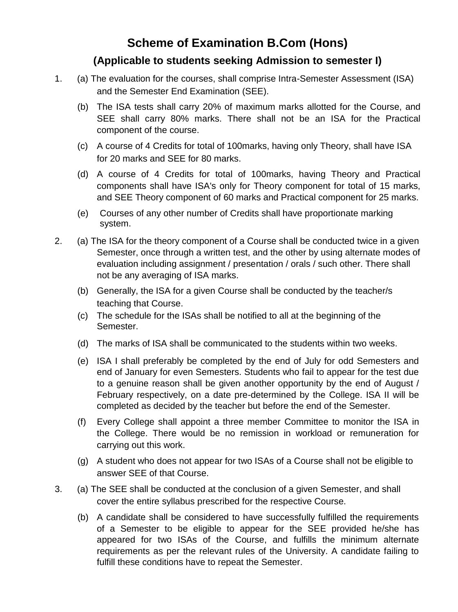# **Scheme of Examination B.Com (Hons)**

## **(Applicable to students seeking Admission to semester I)**

- 1. (a) The evaluation for the courses, shall comprise Intra-Semester Assessment (ISA) and the Semester End Examination (SEE).
	- (b) The ISA tests shall carry 20% of maximum marks allotted for the Course, and SEE shall carry 80% marks. There shall not be an ISA for the Practical component of the course.
	- (c) A course of 4 Credits for total of 100marks, having only Theory, shall have ISA for 20 marks and SEE for 80 marks.
	- (d) A course of 4 Credits for total of 100marks, having Theory and Practical components shall have ISA's only for Theory component for total of 15 marks, and SEE Theory component of 60 marks and Practical component for 25 marks.
	- (e) Courses of any other number of Credits shall have proportionate marking system.
- 2. (a) The ISA for the theory component of a Course shall be conducted twice in a given Semester, once through a written test, and the other by using alternate modes of evaluation including assignment / presentation / orals / such other. There shall not be any averaging of ISA marks.
	- (b) Generally, the ISA for a given Course shall be conducted by the teacher/s teaching that Course.
	- (c) The schedule for the ISAs shall be notified to all at the beginning of the Semester.
	- (d) The marks of ISA shall be communicated to the students within two weeks.
	- (e) ISA I shall preferably be completed by the end of July for odd Semesters and end of January for even Semesters. Students who fail to appear for the test due to a genuine reason shall be given another opportunity by the end of August / February respectively, on a date pre-determined by the College. ISA II will be completed as decided by the teacher but before the end of the Semester.
	- (f) Every College shall appoint a three member Committee to monitor the ISA in the College. There would be no remission in workload or remuneration for carrying out this work.
	- (g) A student who does not appear for two ISAs of a Course shall not be eligible to answer SEE of that Course.
- 3. (a) The SEE shall be conducted at the conclusion of a given Semester, and shall cover the entire syllabus prescribed for the respective Course.
	- (b) A candidate shall be considered to have successfully fulfilled the requirements of a Semester to be eligible to appear for the SEE provided he/she has appeared for two ISAs of the Course, and fulfills the minimum alternate requirements as per the relevant rules of the University. A candidate failing to fulfill these conditions have to repeat the Semester.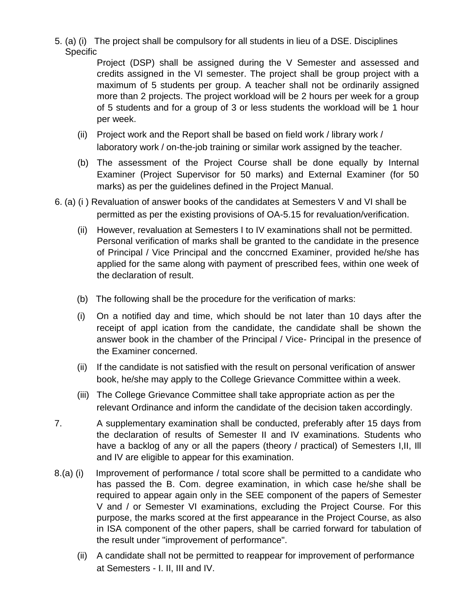5. (a) (i) The project shall be compulsory for all students in lieu of a DSE. Disciplines Specific

Project (DSP) shall be assigned during the V Semester and assessed and credits assigned in the VI semester. The project shall be group project with a maximum of 5 students per group. A teacher shall not be ordinarily assigned more than 2 projects. The project workload will be 2 hours per week for a group of 5 students and for a group of 3 or less students the workload will be 1 hour per week.

- (ii) Project work and the Report shall be based on field work / library work / laboratory work / on-the-job training or similar work assigned by the teacher.
- (b) The assessment of the Project Course shall be done equally by Internal Examiner (Project Supervisor for 50 marks) and External Examiner (for 50 marks) as per the guidelines defined in the Project Manual.
- 6. (a) (i ) Revaluation of answer books of the candidates at Semesters V and VI shall be permitted as per the existing provisions of OA-5.15 for revaluation/verification.
	- (ii) However, revaluation at Semesters I to IV examinations shall not be permitted. Personal verification of marks shall be granted to the candidate in the presence of Principal / Vice Principal and the conccrned Examiner, provided he/she has applied for the same along with payment of prescribed fees, within one week of the declaration of result.
	- (b) The following shall be the procedure for the verification of marks:
	- (i) On a notified day and time, which should be not later than 10 days after the receipt of appl ication from the candidate, the candidate shall be shown the answer book in the chamber of the Principal / Vice- Principal in the presence of the Examiner concerned.
	- (ii) If the candidate is not satisfied with the result on personal verification of answer book, he/she may apply to the College Grievance Committee within a week.
	- (iii) The College Grievance Committee shall take appropriate action as per the relevant Ordinance and inform the candidate of the decision taken accordingly.
- 7. A supplementary examination shall be conducted, preferably after 15 days from the declaration of results of Semester II and IV examinations. Students who have a backlog of any or all the papers (theory / practical) of Semesters I,II, Ill and IV are eligible to appear for this examination.
- 8.(a) (i) Improvement of performance / total score shall be permitted to a candidate who has passed the B. Com. degree examination, in which case he/she shall be required to appear again only in the SEE component of the papers of Semester V and / or Semester VI examinations, excluding the Project Course. For this purpose, the marks scored at the first appearance in the Project Course, as also in ISA component of the other papers, shall be carried forward for tabulation of the result under "improvement of performance".
	- (ii) A candidate shall not be permitted to reappear for improvement of performance at Semesters - I. II, III and IV.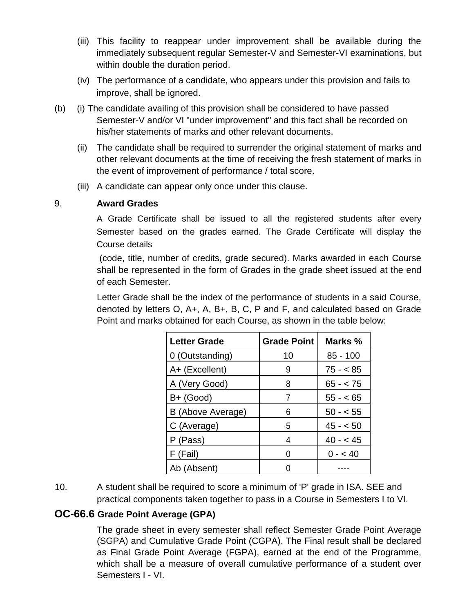- (iii) This facility to reappear under improvement shall be available during the immediately subsequent regular Semester-V and Semester-VI examinations, but within double the duration period.
- (iv) The performance of a candidate, who appears under this provision and fails to improve, shall be ignored.
- (b) (i) The candidate availing of this provision shall be considered to have passed Semester-V and/or VI "under improvement" and this fact shall be recorded on his/her statements of marks and other relevant documents.
	- (ii) The candidate shall be required to surrender the original statement of marks and other relevant documents at the time of receiving the fresh statement of marks in the event of improvement of performance / total score.
	- (iii) A candidate can appear only once under this clause.

#### 9. **Award Grades**

A Grade Certificate shall be issued to all the registered students after every Semester based on the grades earned. The Grade Certificate will display the Course details

(code, title, number of credits, grade secured). Marks awarded in each Course shall be represented in the form of Grades in the grade sheet issued at the end of each Semester.

Letter Grade shall be the index of the performance of students in a said Course, denoted by letters O, A+, A, B+, B, C, P and F, and calculated based on Grade Point and marks obtained for each Course, as shown in the table below:

| <b>Letter Grade</b> | <b>Grade Point</b> | Marks %    |
|---------------------|--------------------|------------|
| 0 (Outstanding)     | 10                 | $85 - 100$ |
| A+ (Excellent)      | 9                  | $75 - 85$  |
| A (Very Good)       | 8                  | $65 - 75$  |
| B+ (Good)           | 7                  | $55 - 65$  |
| B (Above Average)   | 6                  | $50 - 55$  |
| C (Average)         | 5                  | $45 - 50$  |
| P (Pass)            | 4                  | $40 - 45$  |
| F (Fail)            |                    | $0 - 40$   |
| Ab (Absent)         |                    |            |

10. A student shall be required to score a minimum of 'P' grade in ISA. SEE and practical components taken together to pass in a Course in Semesters I to VI.

#### **OC-66.6 Grade Point Average (GPA)**

The grade sheet in every semester shall reflect Semester Grade Point Average (SGPA) and Cumulative Grade Point (CGPA). The Final result shall be declared as Final Grade Point Average (FGPA), earned at the end of the Programme, which shall be a measure of overall cumulative performance of a student over Semesters I - VI.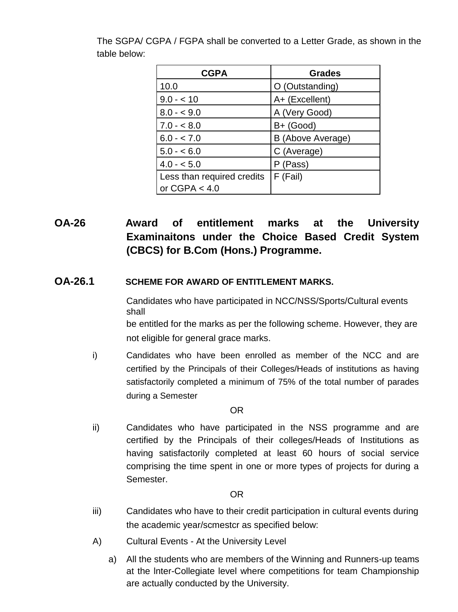| <b>CGPA</b>                | <b>Grades</b>     |
|----------------------------|-------------------|
| 10.0                       | O (Outstanding)   |
| $9.0 - 10$                 | A+ (Excellent)    |
| $8.0 - 9.0$                | A (Very Good)     |
| $7.0 - < 8.0$              | $B+$ (Good)       |
| $6.0 - 7.0$                | B (Above Average) |
| $5.0 - 6.0$                | C (Average)       |
| $4.0 - 5.0$                | P (Pass)          |
| Less than required credits | F (Fail)          |
| or $CGPA < 4.0$            |                   |

The SGPA/ CGPA / FGPA shall be converted to a Letter Grade, as shown in the table below:

## **OA-26 Award of entitlement marks at the University Examinaitons under the Choice Based Credit System (CBCS) for B.Com (Hons.) Programme.**

#### **OA-26.1 SCHEME FOR AWARD OF ENTITLEMENT MARKS.**

Candidates who have participated in NCC/NSS/Sports/Cultural events shall

be entitled for the marks as per the following scheme. However, they are not eligible for general grace marks.

i) Candidates who have been enrolled as member of the NCC and are certified by the Principals of their Colleges/Heads of institutions as having satisfactorily completed a minimum of 75% of the total number of parades during a Semester

#### OR

ii) Candidates who have participated in the NSS programme and are certified by the Principals of their colleges/Heads of Institutions as having satisfactorily completed at least 60 hours of social service comprising the time spent in one or more types of projects for during a Semester.

#### OR

- iii) Candidates who have to their credit participation in cultural events during the academic year/scmestcr as specified below:
- A) Cultural Events At the University Level
	- a) All the students who are members of the Winning and Runners-up teams at the lnter-Collegiate level where competitions for team Championship are actually conducted by the University.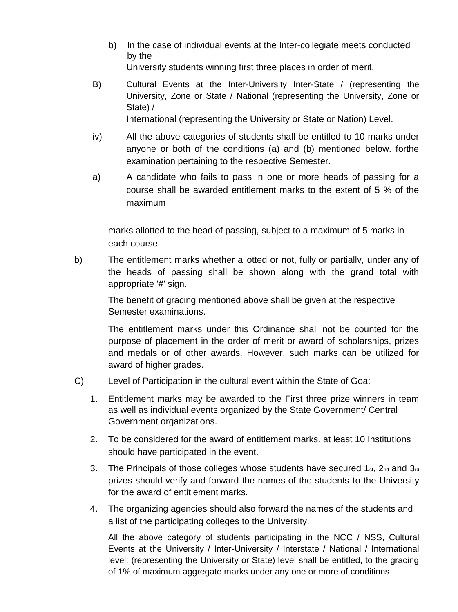- b) In the case of individual events at the Inter-collegiate meets conducted by the University students winning first three places in order of merit.
- B) Cultural Events at the Inter-University Inter-State / (representing the University, Zone or State / National (representing the University, Zone or State) / International (representing the University or State or Nation) Level.
- iv) All the above categories of students shall be entitled to 10 marks under anyone or both of the conditions (a) and (b) mentioned below. forthe examination pertaining to the respective Semester.
- a) A candidate who fails to pass in one or more heads of passing for a course shall be awarded entitlement marks to the extent of 5 % of the maximum

marks allotted to the head of passing, subject to a maximum of 5 marks in each course.

b) The entitlement marks whether allotted or not, fully or partiallv, under any of the heads of passing shall be shown along with the grand total with appropriate '#' sign.

The benefit of gracing mentioned above shall be given at the respective Semester examinations.

The entitlement marks under this Ordinance shall not be counted for the purpose of placement in the order of merit or award of scholarships, prizes and medals or of other awards. However, such marks can be utilized for award of higher grades.

- C) Level of Participation in the cultural event within the State of Goa:
	- 1. Entitlement marks may be awarded to the First three prize winners in team as well as individual events organized by the State Government/ Central Government organizations.
	- 2. To be considered for the award of entitlement marks. at least 10 Institutions should have participated in the event.
	- 3. The Principals of those colleges whose students have secured  $1_{st}$ ,  $2_{nd}$  and  $3_{rd}$ prizes should verify and forward the names of the students to the University for the award of entitlement marks.
	- 4. The organizing agencies should also forward the names of the students and a list of the participating colleges to the University.

All the above category of students participating in the NCC / NSS, Cultural Events at the University / Inter-University / Interstate / National / International level: (representing the University or State) level shall be entitled, to the gracing of 1% of maximum aggregate marks under any one or more of conditions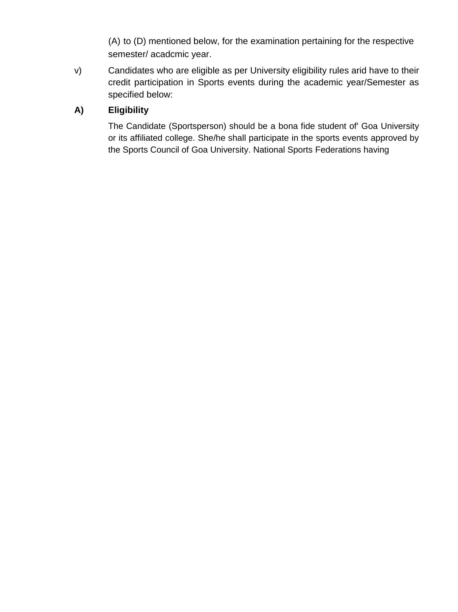(A) to (D) mentioned below, for the examination pertaining for the respective semester/ acadcmic year.

v) Candidates who are eligible as per University eligibility rules arid have to their credit participation in Sports events during the academic year/Semester as specified below:

## **A) Eligibility**

The Candidate (Sportsperson) should be a bona fide student of' Goa University or its affiliated college. She/he shall participate in the sports events approved by the Sports Council of Goa University. National Sports Federations having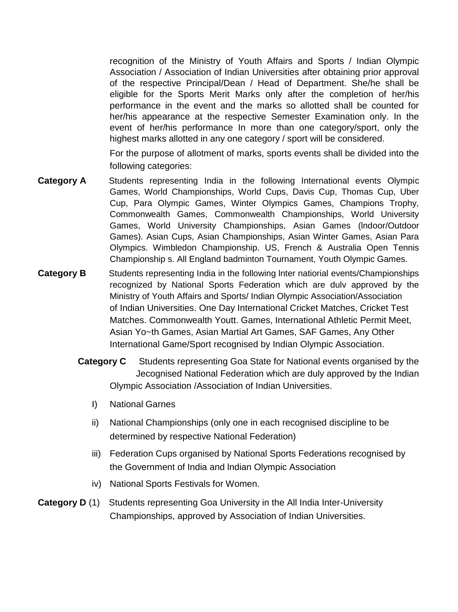recognition of the Ministry of Youth Affairs and Sports / Indian Olympic Association / Association of Indian Universities after obtaining prior approval of the respective Principal/Dean / Head of Department. She/he shall be eligible for the Sports Merit Marks only after the completion of her/his performance in the event and the marks so allotted shall be counted for her/his appearance at the respective Semester Examination only. In the event of her/his performance In more than one category/sport, only the highest marks allotted in any one category / sport will be considered.

For the purpose of allotment of marks, sports events shall be divided into the following categories:

- **Category A** Students representing India in the following International events Olympic Games, World Championships, World Cups, Davis Cup, Thomas Cup, Uber Cup, Para Olympic Games, Winter Olympics Games, Champions Trophy, Commonwealth Games, Commonwealth Championships, World University Games, World University Championships, Asian Games (lndoor/Outdoor Games). Asian Cups, Asian Championships, Asian Winter Games, Asian Para Olympics. Wimbledon Championship. US, French & Australia Open Tennis Championship s. All England badminton Tournament, Youth Olympic Games.
- **Category B** Students representing India in the following Inter natiorial events/Championships recognized by National Sports Federation which are dulv approved by the Ministry of Youth Affairs and Sports/ Indian Olympic Association/Association of Indian Universities. One Day International Cricket Matches, Cricket Test Matches. Commonwealth Youtt. Games, International Athletic Permit Meet, Asian Yo~th Games, Asian Martial Art Games, SAF Games, Any Other International Game/Sport recognised by Indian Olympic Association.
	- **Category C** Students representing Goa State for National events organised by the Jecognised National Federation which are duly approved by the Indian Olympic Association /Association of Indian Universities.
		- I) National Garnes
		- ii) National Championships (only one in each recognised discipline to be determined by respective National Federation)
		- iii) Federation Cups organised by National Sports Federations recognised by the Government of India and lndian Olympic Association
		- iv) National Sports Festivals for Women.
- **Category D** (1) Students representing Goa University in the All India Inter-University Championships, approved by Association of Indian Universities.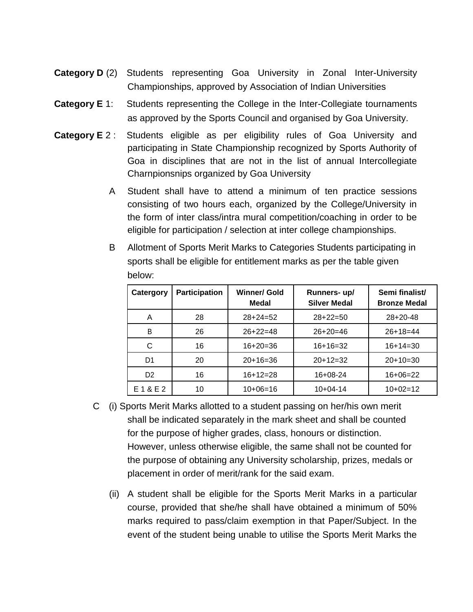- **Category D** (2) Students representing Goa University in Zonal Inter-University Championships, approved by Association of Indian Universities
- **Category E** 1: Students representing the College in the Inter-Collegiate tournaments as approved by the Sports Council and organised by Goa University.
- **Category E** 2 : Students eligible as per eligibility rules of Goa University and participating in State Championship recognized by Sports Authority of Goa in disciplines that are not in the list of annual Intercollegiate Charnpionsnips organized by Goa University
	- A Student shall have to attend a minimum of ten practice sessions consisting of two hours each, organized by the College/University in the form of inter class/intra mural competition/coaching in order to be eligible for participation / selection at inter college championships.

| UUUV.          |                      |                              |                                    |                                       |
|----------------|----------------------|------------------------------|------------------------------------|---------------------------------------|
| Catergory      | <b>Participation</b> | <b>Winner/ Gold</b><br>Medal | Runners-up/<br><b>Silver Medal</b> | Semi finalist/<br><b>Bronze Medal</b> |
| A              | 28                   | $28+24=52$                   | $28+22=50$                         | $28+20-48$                            |
| B              | 26                   | $26+22=48$                   | $26+20=46$                         | $26+18=44$                            |
| С              | 16                   | $16+20=36$                   | $16+16=32$                         | $16+14=30$                            |
| D <sub>1</sub> | 20                   | $20+16=36$                   | $20+12=32$                         | $20+10=30$                            |
| D <sub>2</sub> | 16                   | $16+12=28$                   | $16+08-24$                         | $16+06=22$                            |
| E 1 & E 2      | 10                   | $10+06=16$                   | $10+04-14$                         | $10+02=12$                            |

B Allotment of Sports Merit Marks to Categories Students participating in sports shall be eligible for entitlement marks as per the table given below:

- C (i) Sports Merit Marks allotted to a student passing on her/his own merit shall be indicated separately in the mark sheet and shall be counted for the purpose of higher grades, class, honours or distinction. However, unless otherwise eligible, the same shall not be counted for the purpose of obtaining any University scholarship, prizes, medals or placement in order of merit/rank for the said exam.
	- (ii) A student shall be eligible for the Sports Merit Marks in a particular course, provided that she/he shall have obtained a minimum of 50% marks required to pass/claim exemption in that Paper/Subject. In the event of the student being unable to utilise the Sports Merit Marks the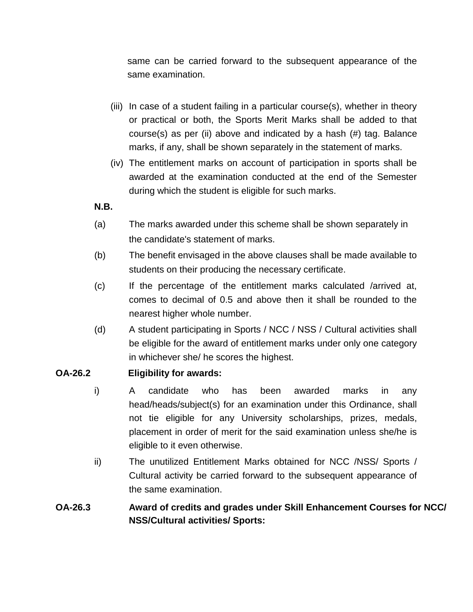same can be carried forward to the subsequent appearance of the same examination.

- (iii) In case of a student failing in a particular course(s), whether in theory or practical or both, the Sports Merit Marks shall be added to that course(s) as per (ii) above and indicated by a hash (#) tag. Balance marks, if any, shall be shown separately in the statement of marks.
- (iv) The entitlement marks on account of participation in sports shall be awarded at the examination conducted at the end of the Semester during which the student is eligible for such marks.

#### **N.B.**

- (a) The marks awarded under this scheme shall be shown separately in the candidate's statement of marks.
- (b) The benefit envisaged in the above clauses shall be made available to students on their producing the necessary certificate.
- (c) If the percentage of the entitlement marks calculated /arrived at, comes to decimal of 0.5 and above then it shall be rounded to the nearest higher whole number.
- (d) A student participating in Sports / NCC / NSS / Cultural activities shall be eligible for the award of entitlement marks under only one category in whichever she/ he scores the highest.

#### **OA-26.2 Eligibility for awards:**

- i) A candidate who has been awarded marks in any head/heads/subject(s) for an examination under this Ordinance, shall not tie eligible for any University scholarships, prizes, medals, placement in order of merit for the said examination unless she/he is eligible to it even otherwise.
- ii) The unutilized Entitlement Marks obtained for NCC /NSS/ Sports / Cultural activity be carried forward to the subsequent appearance of the same examination.

### **OA-26.3 Award of credits and grades under Skill Enhancement Courses for NCC/ NSS/Cultural activities/ Sports:**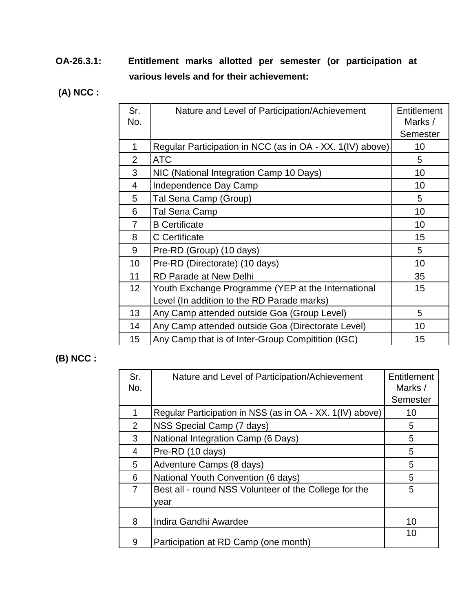- **OA-26.3.1: Entitlement marks allotted per semester (or participation at various levels and for their achievement:**
- **(A) NCC :**

| Sr.<br>No.     | Nature and Level of Participation/Achievement             | Entitlement<br>Marks / |
|----------------|-----------------------------------------------------------|------------------------|
|                |                                                           | <b>Semester</b>        |
| 1              | Regular Participation in NCC (as in OA - XX. 1(IV) above) | 10                     |
| $\overline{2}$ | <b>ATC</b>                                                | 5                      |
| 3              | NIC (National Integration Camp 10 Days)                   | 10                     |
| 4              | Independence Day Camp                                     | 10                     |
| 5              | Tal Sena Camp (Group)                                     | 5                      |
| 6              | Tal Sena Camp                                             | 10                     |
| 7              | <b>B</b> Certificate                                      | 10                     |
| 8              | C Certificate                                             | 15                     |
| 9              | Pre-RD (Group) (10 days)                                  | 5                      |
| 10             | Pre-RD (Directorate) (10 days)                            | 10                     |
| 11             | <b>RD Parade at New Delhi</b>                             | 35                     |
| 12             | Youth Exchange Programme (YEP at the International        | 15                     |
|                | Level (In addition to the RD Parade marks)                |                        |
| 13             | Any Camp attended outside Goa (Group Level)               | 5                      |
| 14             | Any Camp attended outside Goa (Directorate Level)         | 10                     |
| 15             | Any Camp that is of Inter-Group Compitition (IGC)         | 15                     |

## **(B) NCC :**

| Sr.<br>No.     | Nature and Level of Participation/Achievement             | Entitlement<br>Marks / |
|----------------|-----------------------------------------------------------|------------------------|
|                |                                                           | <b>Semester</b>        |
|                | Regular Participation in NSS (as in OA - XX. 1(IV) above) | 10                     |
| $\overline{2}$ | NSS Special Camp (7 days)                                 | 5                      |
| 3              | National Integration Camp (6 Days)                        | 5                      |
| 4              | Pre-RD (10 days)                                          | 5                      |
| 5              | Adventure Camps (8 days)                                  | 5                      |
| 6              | National Youth Convention (6 days)                        | 5                      |
| 7              | Best all - round NSS Volunteer of the College for the     | 5                      |
|                | year                                                      |                        |
| 8              | Indira Gandhi Awardee                                     | 10                     |
| 9              | Participation at RD Camp (one month)                      | 10                     |